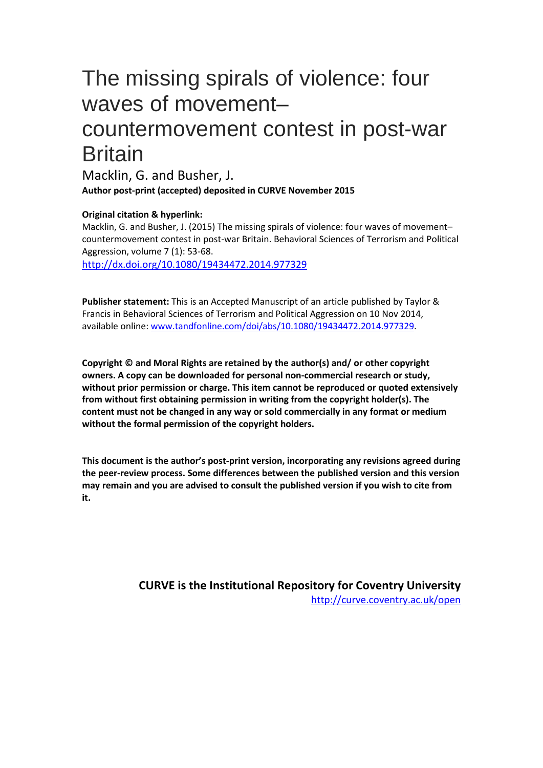# The missing spirals of violence: four waves of movement– countermovement contest in post-war **Britain**

Macklin, G. and Busher, J. **Author post-print (accepted) deposited in CURVE November 2015**

### **Original citation & hyperlink:**

Macklin, G. and Busher, J. (2015) The missing spirals of violence: four waves of movement– countermovement contest in post-war Britain. Behavioral Sciences of Terrorism and Political Aggression, volume 7 (1): 53-68. <http://dx.doi.org/10.1080/19434472.2014.977329>

**Publisher statement:** This is an Accepted Manuscript of an article published by Taylor & Francis in Behavioral Sciences of Terrorism and Political Aggression on 10 Nov 2014, available online[: www.tandfonline.com/doi/abs/10.1080/19434472.2014.977329.](http://www.tandfonline.com/doi/abs/10.1080/19434472.2014.977329)

**Copyright © and Moral Rights are retained by the author(s) and/ or other copyright owners. A copy can be downloaded for personal non-commercial research or study, without prior permission or charge. This item cannot be reproduced or quoted extensively from without first obtaining permission in writing from the copyright holder(s). The content must not be changed in any way or sold commercially in any format or medium without the formal permission of the copyright holders.** 

**This document is the author's post-print version, incorporating any revisions agreed during the peer-review process. Some differences between the published version and this version may remain and you are advised to consult the published version if you wish to cite from it.** 

> **CURVE is the Institutional Repository for Coventry University** <http://curve.coventry.ac.uk/open>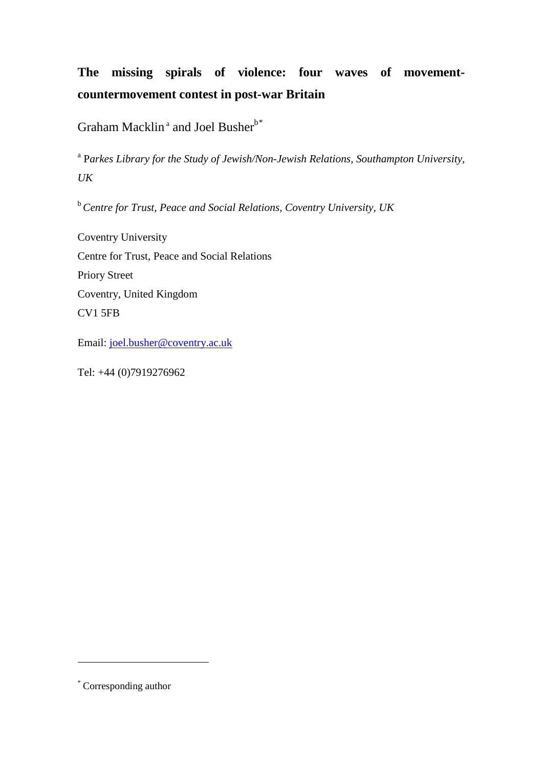## **The missing spirals of violence: four waves of movementcountermovement contest in post-war Britain**

Graham Macklin<sup>ª</sup> and Joel Busher<sup>b[\\*](#page-1-0)</sup>

<sup>a</sup> P*arkes Library for the Study of Jewish/Non-Jewish Relations, Southampton University, UK*

<sup>b</sup>*Centre for Trust, Peace and Social Relations, Coventry University, UK*

Coventry University Centre for Trust, Peace and Social Relations Priory Street Coventry, United Kingdom CV1 5FB

Email: [joel.busher@coventry.ac.uk](mailto:joel.busher@coventry.ac.uk)

Tel: +44 (0)7919276962

 $\overline{a}$ 

<span id="page-1-1"></span><span id="page-1-0"></span><sup>\*</sup> Corresponding author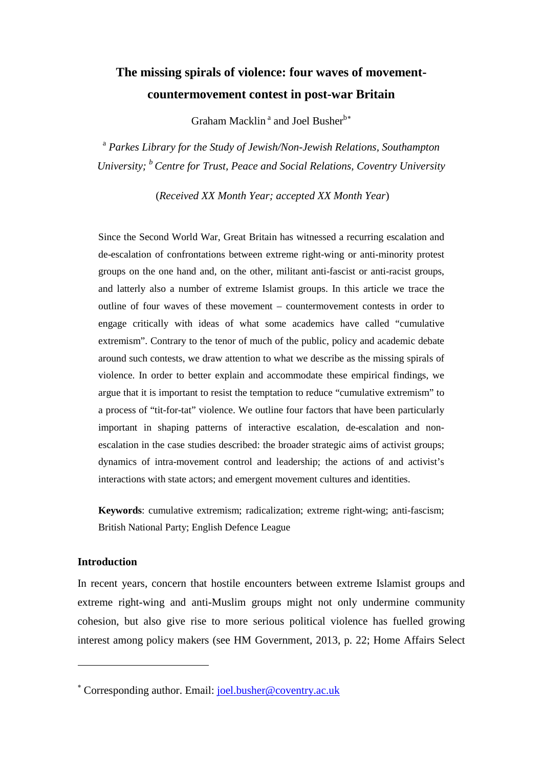### **The missing spirals of violence: four waves of movementcountermovement contest in post-war Britain**

Graham Macklin<sup>a</sup> and Joel Busher<sup>b\*</sup>

<sup>a</sup> *Parkes Library for the Study of Jewish/Non-Jewish Relations, Southampton University; b Centre for Trust, Peace and Social Relations, Coventry University*

(*Received XX Month Year; accepted XX Month Year*)

Since the Second World War, Great Britain has witnessed a recurring escalation and de-escalation of confrontations between extreme right-wing or anti-minority protest groups on the one hand and, on the other, militant anti-fascist or anti-racist groups, and latterly also a number of extreme Islamist groups. In this article we trace the outline of four waves of these movement – countermovement contests in order to engage critically with ideas of what some academics have called "cumulative extremism". Contrary to the tenor of much of the public, policy and academic debate around such contests, we draw attention to what we describe as the missing spirals of violence. In order to better explain and accommodate these empirical findings, we argue that it is important to resist the temptation to reduce "cumulative extremism" to a process of "tit-for-tat" violence. We outline four factors that have been particularly important in shaping patterns of interactive escalation, de-escalation and nonescalation in the case studies described: the broader strategic aims of activist groups; dynamics of intra-movement control and leadership; the actions of and activist's interactions with state actors; and emergent movement cultures and identities.

**Keywords**: cumulative extremism; radicalization; extreme right-wing; anti-fascism; British National Party; English Defence League

### **Introduction**

 $\overline{a}$ 

In recent years, concern that hostile encounters between extreme Islamist groups and extreme right-wing and anti-Muslim groups might not only undermine community cohesion, but also give rise to more serious political violence has fuelled growing interest among policy makers (see HM Government, 2013, p. 22; Home Affairs Select

<sup>∗</sup> Corresponding author. Email: [joel.busher@coventry.ac.uk](mailto:joel.busher@coventry.ac.uk)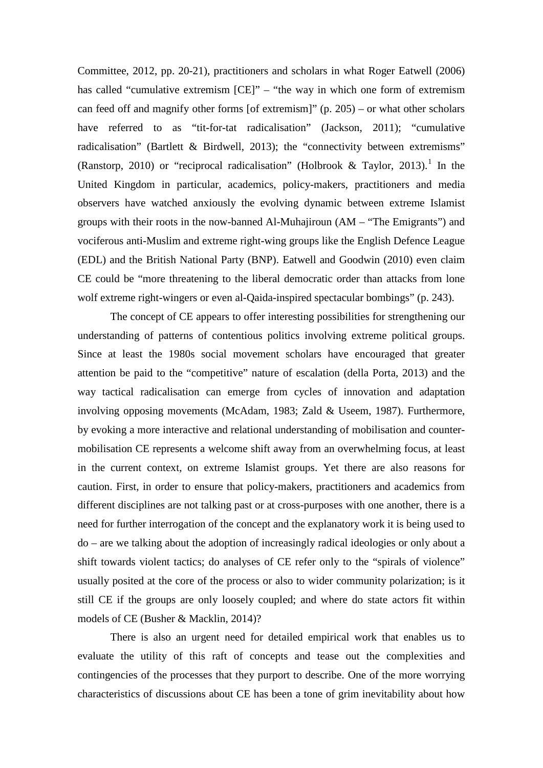Committee, 2012, pp. 20-21), practitioners and scholars in what Roger Eatwell (2006) has called "cumulative extremism [CE]" – "the way in which one form of extremism can feed off and magnify other forms [of extremism]"  $(p. 205)$  – or what other scholars have referred to as "tit-for-tat radicalisation" (Jackson, 2011); "cumulative radicalisation" (Bartlett & Birdwell, 2013); the "connectivity between extremisms" (Ranstorp, 20[1](#page-25-0)0) or "reciprocal radicalisation" (Holbrook & Taylor, 2013).<sup>1</sup> In the United Kingdom in particular, academics, policy-makers, practitioners and media observers have watched anxiously the evolving dynamic between extreme Islamist groups with their roots in the now-banned Al-Muhajiroun (AM – "The Emigrants") and vociferous anti-Muslim and extreme right-wing groups like the English Defence League (EDL) and the British National Party (BNP). Eatwell and Goodwin (2010) even claim CE could be "more threatening to the liberal democratic order than attacks from lone wolf extreme right-wingers or even al-Qaida-inspired spectacular bombings" (p. 243).

The concept of CE appears to offer interesting possibilities for strengthening our understanding of patterns of contentious politics involving extreme political groups. Since at least the 1980s social movement scholars have encouraged that greater attention be paid to the "competitive" nature of escalation (della Porta, 2013) and the way tactical radicalisation can emerge from cycles of innovation and adaptation involving opposing movements (McAdam, 1983; Zald & Useem, 1987). Furthermore, by evoking a more interactive and relational understanding of mobilisation and countermobilisation CE represents a welcome shift away from an overwhelming focus, at least in the current context, on extreme Islamist groups. Yet there are also reasons for caution. First, in order to ensure that policy-makers, practitioners and academics from different disciplines are not talking past or at cross-purposes with one another, there is a need for further interrogation of the concept and the explanatory work it is being used to do – are we talking about the adoption of increasingly radical ideologies or only about a shift towards violent tactics; do analyses of CE refer only to the "spirals of violence" usually posited at the core of the process or also to wider community polarization; is it still CE if the groups are only loosely coupled; and where do state actors fit within models of CE (Busher & Macklin, 2014)?

There is also an urgent need for detailed empirical work that enables us to evaluate the utility of this raft of concepts and tease out the complexities and contingencies of the processes that they purport to describe. One of the more worrying characteristics of discussions about CE has been a tone of grim inevitability about how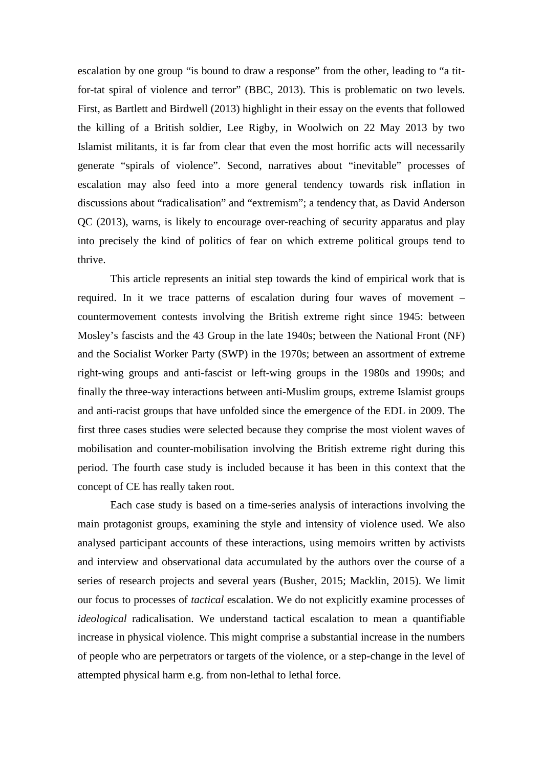escalation by one group "is bound to draw a response" from the other, leading to "a titfor-tat spiral of violence and terror" (BBC, 2013). This is problematic on two levels. First, as Bartlett and Birdwell (2013) highlight in their essay on the events that followed the killing of a British soldier, Lee Rigby, in Woolwich on 22 May 2013 by two Islamist militants, it is far from clear that even the most horrific acts will necessarily generate "spirals of violence". Second, narratives about "inevitable" processes of escalation may also feed into a more general tendency towards risk inflation in discussions about "radicalisation" and "extremism"; a tendency that, as David Anderson QC (2013), warns, is likely to encourage over-reaching of security apparatus and play into precisely the kind of politics of fear on which extreme political groups tend to thrive.

This article represents an initial step towards the kind of empirical work that is required. In it we trace patterns of escalation during four waves of movement – countermovement contests involving the British extreme right since 1945: between Mosley's fascists and the 43 Group in the late 1940s; between the National Front (NF) and the Socialist Worker Party (SWP) in the 1970s; between an assortment of extreme right-wing groups and anti-fascist or left-wing groups in the 1980s and 1990s; and finally the three-way interactions between anti-Muslim groups, extreme Islamist groups and anti-racist groups that have unfolded since the emergence of the EDL in 2009. The first three cases studies were selected because they comprise the most violent waves of mobilisation and counter-mobilisation involving the British extreme right during this period. The fourth case study is included because it has been in this context that the concept of CE has really taken root.

Each case study is based on a time-series analysis of interactions involving the main protagonist groups, examining the style and intensity of violence used. We also analysed participant accounts of these interactions, using memoirs written by activists and interview and observational data accumulated by the authors over the course of a series of research projects and several years (Busher, 2015; Macklin, 2015). We limit our focus to processes of *tactical* escalation. We do not explicitly examine processes of *ideological* radicalisation. We understand tactical escalation to mean a quantifiable increase in physical violence. This might comprise a substantial increase in the numbers of people who are perpetrators or targets of the violence, or a step-change in the level of attempted physical harm e.g. from non-lethal to lethal force.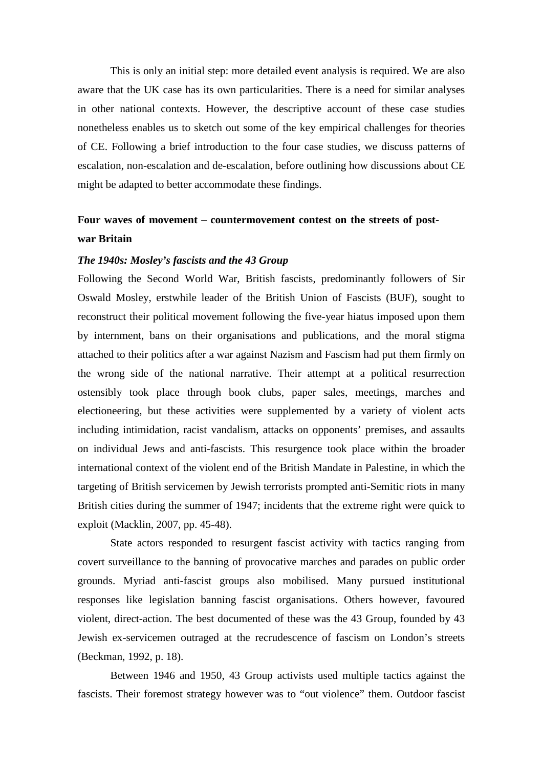This is only an initial step: more detailed event analysis is required. We are also aware that the UK case has its own particularities. There is a need for similar analyses in other national contexts. However, the descriptive account of these case studies nonetheless enables us to sketch out some of the key empirical challenges for theories of CE. Following a brief introduction to the four case studies, we discuss patterns of escalation, non-escalation and de-escalation, before outlining how discussions about CE might be adapted to better accommodate these findings.

### **Four waves of movement – countermovement contest on the streets of postwar Britain**

### *The 1940s: Mosley's fascists and the 43 Group*

Following the Second World War, British fascists, predominantly followers of Sir Oswald Mosley, erstwhile leader of the British Union of Fascists (BUF), sought to reconstruct their political movement following the five-year hiatus imposed upon them by internment, bans on their organisations and publications, and the moral stigma attached to their politics after a war against Nazism and Fascism had put them firmly on the wrong side of the national narrative. Their attempt at a political resurrection ostensibly took place through book clubs, paper sales, meetings, marches and electioneering, but these activities were supplemented by a variety of violent acts including intimidation, racist vandalism, attacks on opponents' premises, and assaults on individual Jews and anti-fascists. This resurgence took place within the broader international context of the violent end of the British Mandate in Palestine, in which the targeting of British servicemen by Jewish terrorists prompted anti-Semitic riots in many British cities during the summer of 1947; incidents that the extreme right were quick to exploit (Macklin, 2007, pp. 45-48).

State actors responded to resurgent fascist activity with tactics ranging from covert surveillance to the banning of provocative marches and parades on public order grounds. Myriad anti-fascist groups also mobilised. Many pursued institutional responses like legislation banning fascist organisations. Others however, favoured violent, direct-action. The best documented of these was the 43 Group, founded by 43 Jewish ex-servicemen outraged at the recrudescence of fascism on London's streets (Beckman, 1992, p. 18).

Between 1946 and 1950, 43 Group activists used multiple tactics against the fascists. Their foremost strategy however was to "out violence" them. Outdoor fascist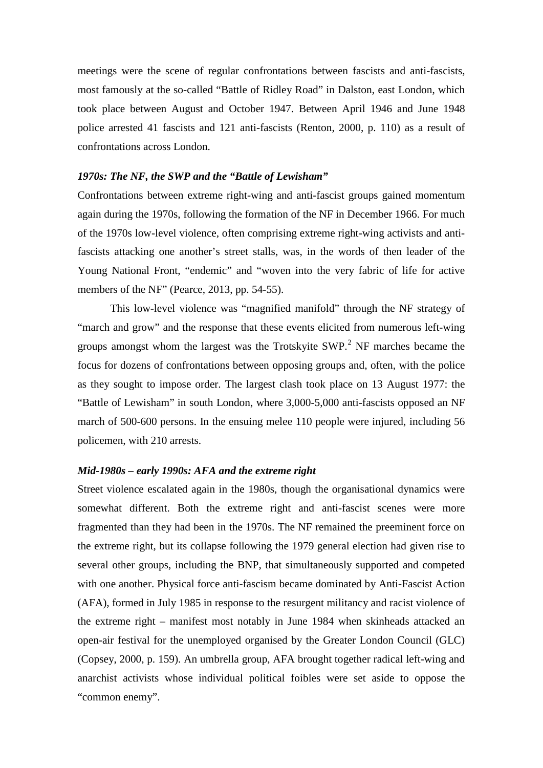meetings were the scene of regular confrontations between fascists and anti-fascists, most famously at the so-called "Battle of Ridley Road" in Dalston, east London, which took place between August and October 1947. Between April 1946 and June 1948 police arrested 41 fascists and 121 anti-fascists (Renton, 2000, p. 110) as a result of confrontations across London.

### *1970s: The NF, the SWP and the "Battle of Lewisham"*

Confrontations between extreme right-wing and anti-fascist groups gained momentum again during the 1970s, following the formation of the NF in December 1966. For much of the 1970s low-level violence, often comprising extreme right-wing activists and antifascists attacking one another's street stalls, was, in the words of then leader of the Young National Front, "endemic" and "woven into the very fabric of life for active members of the NF" (Pearce, 2013, pp. 54-55).

This low-level violence was "magnified manifold" through the NF strategy of "march and grow" and the response that these events elicited from numerous left-wing groups amongst whom the largest was the Trotskyite  $SWP<sup>2</sup>$  $SWP<sup>2</sup>$  $SWP<sup>2</sup>$  NF marches became the focus for dozens of confrontations between opposing groups and, often, with the police as they sought to impose order. The largest clash took place on 13 August 1977: the "Battle of Lewisham" in south London, where 3,000-5,000 anti-fascists opposed an NF march of 500-600 persons. In the ensuing melee 110 people were injured, including 56 policemen, with 210 arrests.

### *Mid-1980s – early 1990s: AFA and the extreme right*

Street violence escalated again in the 1980s, though the organisational dynamics were somewhat different. Both the extreme right and anti-fascist scenes were more fragmented than they had been in the 1970s. The NF remained the preeminent force on the extreme right, but its collapse following the 1979 general election had given rise to several other groups, including the BNP, that simultaneously supported and competed with one another. Physical force anti-fascism became dominated by Anti-Fascist Action (AFA), formed in July 1985 in response to the resurgent militancy and racist violence of the extreme right – manifest most notably in June 1984 when skinheads attacked an open-air festival for the unemployed organised by the Greater London Council (GLC) (Copsey, 2000, p. 159). An umbrella group, AFA brought together radical left-wing and anarchist activists whose individual political foibles were set aside to oppose the "common enemy".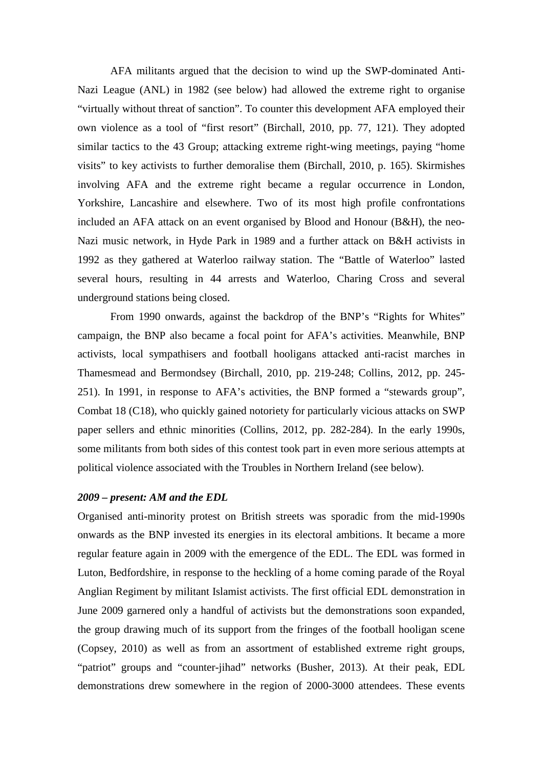AFA militants argued that the decision to wind up the SWP-dominated Anti-Nazi League (ANL) in 1982 (see below) had allowed the extreme right to organise "virtually without threat of sanction". To counter this development AFA employed their own violence as a tool of "first resort" (Birchall, 2010, pp. 77, 121). They adopted similar tactics to the 43 Group; attacking extreme right-wing meetings, paying "home visits" to key activists to further demoralise them (Birchall, 2010, p. 165). Skirmishes involving AFA and the extreme right became a regular occurrence in London, Yorkshire, Lancashire and elsewhere. Two of its most high profile confrontations included an AFA attack on an event organised by Blood and Honour (B&H), the neo-Nazi music network, in Hyde Park in 1989 and a further attack on B&H activists in 1992 as they gathered at Waterloo railway station. The "Battle of Waterloo" lasted several hours, resulting in 44 arrests and Waterloo, Charing Cross and several underground stations being closed.

From 1990 onwards, against the backdrop of the BNP's "Rights for Whites" campaign, the BNP also became a focal point for AFA's activities. Meanwhile, BNP activists, local sympathisers and football hooligans attacked anti-racist marches in Thamesmead and Bermondsey (Birchall, 2010, pp. 219-248; Collins, 2012, pp. 245- 251). In 1991, in response to AFA's activities, the BNP formed a "stewards group", Combat 18 (C18), who quickly gained notoriety for particularly vicious attacks on SWP paper sellers and ethnic minorities (Collins, 2012, pp. 282-284). In the early 1990s, some militants from both sides of this contest took part in even more serious attempts at political violence associated with the Troubles in Northern Ireland (see below).

### *2009 – present: AM and the EDL*

Organised anti-minority protest on British streets was sporadic from the mid-1990s onwards as the BNP invested its energies in its electoral ambitions. It became a more regular feature again in 2009 with the emergence of the EDL. The EDL was formed in Luton, Bedfordshire, in response to the heckling of a home coming parade of the Royal Anglian Regiment by militant Islamist activists. The first official EDL demonstration in June 2009 garnered only a handful of activists but the demonstrations soon expanded, the group drawing much of its support from the fringes of the football hooligan scene (Copsey, 2010) as well as from an assortment of established extreme right groups, "patriot" groups and "counter-jihad" networks (Busher, 2013). At their peak, EDL demonstrations drew somewhere in the region of 2000-3000 attendees. These events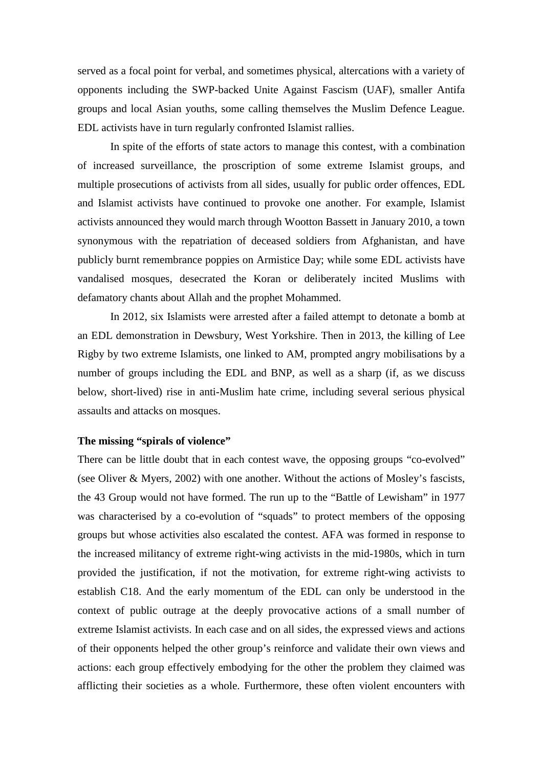served as a focal point for verbal, and sometimes physical, altercations with a variety of opponents including the SWP-backed Unite Against Fascism (UAF), smaller Antifa groups and local Asian youths, some calling themselves the Muslim Defence League. EDL activists have in turn regularly confronted Islamist rallies.

In spite of the efforts of state actors to manage this contest, with a combination of increased surveillance, the proscription of some extreme Islamist groups, and multiple prosecutions of activists from all sides, usually for public order offences, EDL and Islamist activists have continued to provoke one another. For example, Islamist activists announced they would march through Wootton Bassett in January 2010, a town synonymous with the repatriation of deceased soldiers from Afghanistan, and have publicly burnt remembrance poppies on Armistice Day; while some EDL activists have vandalised mosques, desecrated the Koran or deliberately incited Muslims with defamatory chants about Allah and the prophet Mohammed.

In 2012, six Islamists were arrested after a failed attempt to detonate a bomb at an EDL demonstration in Dewsbury, West Yorkshire. Then in 2013, the killing of Lee Rigby by two extreme Islamists, one linked to AM, prompted angry mobilisations by a number of groups including the EDL and BNP, as well as a sharp (if, as we discuss below, short-lived) rise in anti-Muslim hate crime, including several serious physical assaults and attacks on mosques.

### **The missing "spirals of violence"**

There can be little doubt that in each contest wave, the opposing groups "co-evolved" (see Oliver & Myers, 2002) with one another. Without the actions of Mosley's fascists, the 43 Group would not have formed. The run up to the "Battle of Lewisham" in 1977 was characterised by a co-evolution of "squads" to protect members of the opposing groups but whose activities also escalated the contest. AFA was formed in response to the increased militancy of extreme right-wing activists in the mid-1980s, which in turn provided the justification, if not the motivation, for extreme right-wing activists to establish C18. And the early momentum of the EDL can only be understood in the context of public outrage at the deeply provocative actions of a small number of extreme Islamist activists. In each case and on all sides, the expressed views and actions of their opponents helped the other group's reinforce and validate their own views and actions: each group effectively embodying for the other the problem they claimed was afflicting their societies as a whole. Furthermore, these often violent encounters with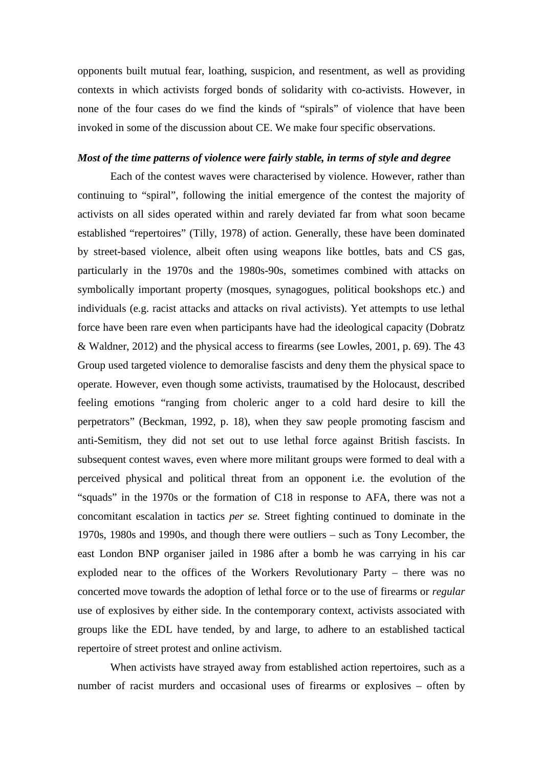opponents built mutual fear, loathing, suspicion, and resentment, as well as providing contexts in which activists forged bonds of solidarity with co-activists. However, in none of the four cases do we find the kinds of "spirals" of violence that have been invoked in some of the discussion about CE. We make four specific observations.

### *Most of the time patterns of violence were fairly stable, in terms of style and degree*

Each of the contest waves were characterised by violence. However, rather than continuing to "spiral", following the initial emergence of the contest the majority of activists on all sides operated within and rarely deviated far from what soon became established "repertoires" (Tilly, 1978) of action. Generally, these have been dominated by street-based violence, albeit often using weapons like bottles, bats and CS gas, particularly in the 1970s and the 1980s-90s, sometimes combined with attacks on symbolically important property (mosques, synagogues, political bookshops etc.) and individuals (e.g. racist attacks and attacks on rival activists). Yet attempts to use lethal force have been rare even when participants have had the ideological capacity (Dobratz & Waldner, 2012) and the physical access to firearms (see Lowles, 2001, p. 69). The 43 Group used targeted violence to demoralise fascists and deny them the physical space to operate. However, even though some activists, traumatised by the Holocaust, described feeling emotions "ranging from choleric anger to a cold hard desire to kill the perpetrators" (Beckman, 1992, p. 18), when they saw people promoting fascism and anti-Semitism, they did not set out to use lethal force against British fascists. In subsequent contest waves, even where more militant groups were formed to deal with a perceived physical and political threat from an opponent i.e. the evolution of the "squads" in the 1970s or the formation of C18 in response to AFA, there was not a concomitant escalation in tactics *per se.* Street fighting continued to dominate in the 1970s, 1980s and 1990s, and though there were outliers – such as Tony Lecomber, the east London BNP organiser jailed in 1986 after a bomb he was carrying in his car exploded near to the offices of the Workers Revolutionary Party – there was no concerted move towards the adoption of lethal force or to the use of firearms or *regular* use of explosives by either side. In the contemporary context, activists associated with groups like the EDL have tended, by and large, to adhere to an established tactical repertoire of street protest and online activism.

When activists have strayed away from established action repertoires, such as a number of racist murders and occasional uses of firearms or explosives – often by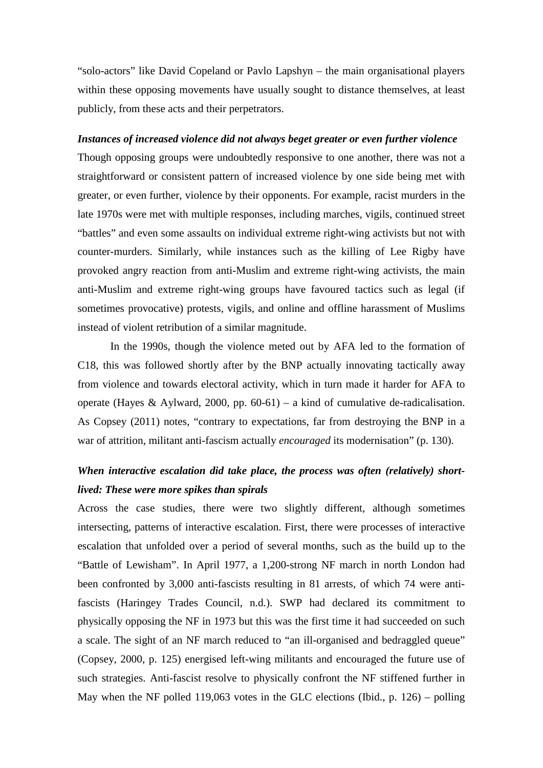"solo-actors" like David Copeland or Pavlo Lapshyn – the main organisational players within these opposing movements have usually sought to distance themselves, at least publicly, from these acts and their perpetrators.

### *Instances of increased violence did not always beget greater or even further violence*

Though opposing groups were undoubtedly responsive to one another, there was not a straightforward or consistent pattern of increased violence by one side being met with greater, or even further, violence by their opponents. For example, racist murders in the late 1970s were met with multiple responses, including marches, vigils, continued street "battles" and even some assaults on individual extreme right-wing activists but not with counter-murders. Similarly, while instances such as the killing of Lee Rigby have provoked angry reaction from anti-Muslim and extreme right-wing activists, the main anti-Muslim and extreme right-wing groups have favoured tactics such as legal (if sometimes provocative) protests, vigils, and online and offline harassment of Muslims instead of violent retribution of a similar magnitude.

In the 1990s, though the violence meted out by AFA led to the formation of C18, this was followed shortly after by the BNP actually innovating tactically away from violence and towards electoral activity, which in turn made it harder for AFA to operate (Hayes & Aylward, 2000, pp. 60-61) – a kind of cumulative de-radicalisation. As Copsey (2011) notes, "contrary to expectations, far from destroying the BNP in a war of attrition, militant anti-fascism actually *encouraged* its modernisation" (p. 130).

### *When interactive escalation did take place, the process was often (relatively) shortlived: These were more spikes than spirals*

Across the case studies, there were two slightly different, although sometimes intersecting, patterns of interactive escalation. First, there were processes of interactive escalation that unfolded over a period of several months, such as the build up to the "Battle of Lewisham". In April 1977, a 1,200-strong NF march in north London had been confronted by 3,000 anti-fascists resulting in 81 arrests, of which 74 were antifascists (Haringey Trades Council, n.d.). SWP had declared its commitment to physically opposing the NF in 1973 but this was the first time it had succeeded on such a scale. The sight of an NF march reduced to "an ill-organised and bedraggled queue" (Copsey, 2000, p. 125) energised left-wing militants and encouraged the future use of such strategies. Anti-fascist resolve to physically confront the NF stiffened further in May when the NF polled 119,063 votes in the GLC elections (Ibid., p. 126) – polling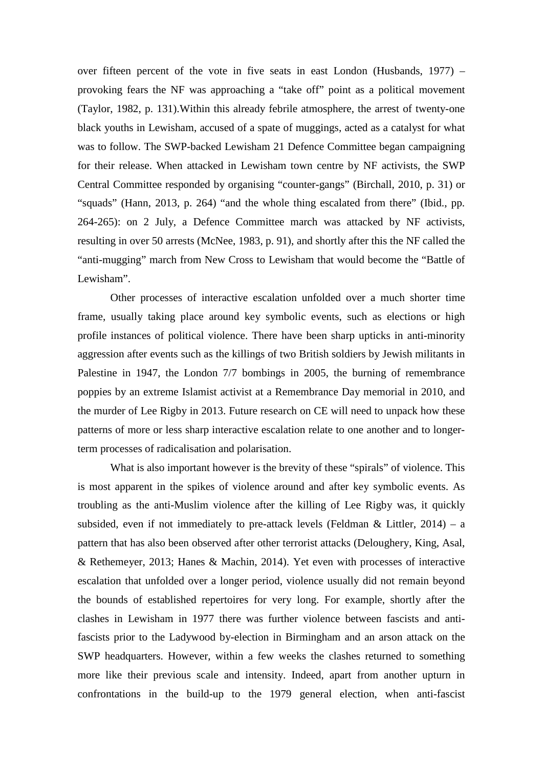over fifteen percent of the vote in five seats in east London (Husbands, 1977) – provoking fears the NF was approaching a "take off" point as a political movement (Taylor, 1982, p. 131).Within this already febrile atmosphere, the arrest of twenty-one black youths in Lewisham, accused of a spate of muggings, acted as a catalyst for what was to follow. The SWP-backed Lewisham 21 Defence Committee began campaigning for their release. When attacked in Lewisham town centre by NF activists, the SWP Central Committee responded by organising "counter-gangs" (Birchall, 2010, p. 31) or "squads" (Hann, 2013, p. 264) "and the whole thing escalated from there" (Ibid., pp. 264-265): on 2 July, a Defence Committee march was attacked by NF activists, resulting in over 50 arrests (McNee, 1983, p. 91), and shortly after this the NF called the "anti-mugging" march from New Cross to Lewisham that would become the "Battle of Lewisham".

Other processes of interactive escalation unfolded over a much shorter time frame, usually taking place around key symbolic events, such as elections or high profile instances of political violence. There have been sharp upticks in anti-minority aggression after events such as the killings of two British soldiers by Jewish militants in Palestine in 1947, the London 7/7 bombings in 2005, the burning of remembrance poppies by an extreme Islamist activist at a Remembrance Day memorial in 2010, and the murder of Lee Rigby in 2013. Future research on CE will need to unpack how these patterns of more or less sharp interactive escalation relate to one another and to longerterm processes of radicalisation and polarisation.

What is also important however is the brevity of these "spirals" of violence. This is most apparent in the spikes of violence around and after key symbolic events. As troubling as the anti-Muslim violence after the killing of Lee Rigby was, it quickly subsided, even if not immediately to pre-attack levels (Feldman & Littler,  $2014$ ) – a pattern that has also been observed after other terrorist attacks (Deloughery, King, Asal, & Rethemeyer, 2013; Hanes & Machin, 2014). Yet even with processes of interactive escalation that unfolded over a longer period, violence usually did not remain beyond the bounds of established repertoires for very long. For example, shortly after the clashes in Lewisham in 1977 there was further violence between fascists and antifascists prior to the Ladywood by-election in Birmingham and an arson attack on the SWP headquarters. However, within a few weeks the clashes returned to something more like their previous scale and intensity. Indeed, apart from another upturn in confrontations in the build-up to the 1979 general election, when anti-fascist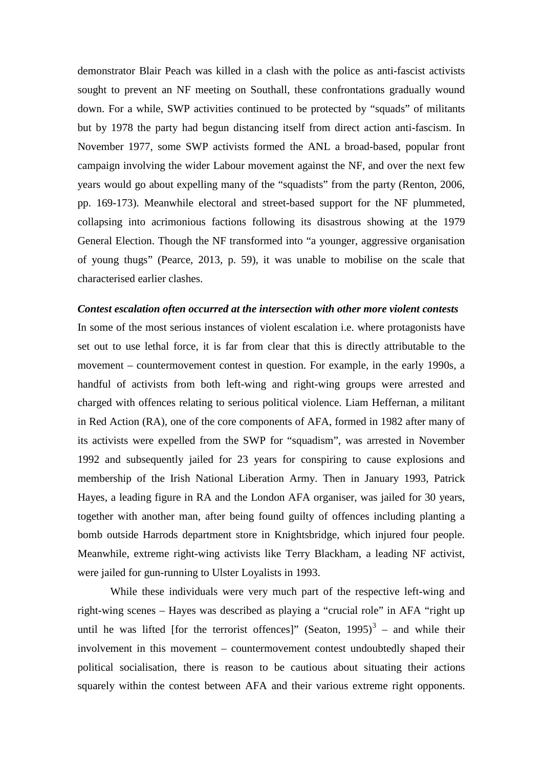demonstrator Blair Peach was killed in a clash with the police as anti-fascist activists sought to prevent an NF meeting on Southall, these confrontations gradually wound down. For a while, SWP activities continued to be protected by "squads" of militants but by 1978 the party had begun distancing itself from direct action anti-fascism. In November 1977, some SWP activists formed the ANL a broad-based, popular front campaign involving the wider Labour movement against the NF, and over the next few years would go about expelling many of the "squadists" from the party (Renton, 2006, pp. 169-173). Meanwhile electoral and street-based support for the NF plummeted, collapsing into acrimonious factions following its disastrous showing at the 1979 General Election. Though the NF transformed into "a younger, aggressive organisation of young thugs" (Pearce, 2013, p. 59), it was unable to mobilise on the scale that characterised earlier clashes.

#### *Contest escalation often occurred at the intersection with other more violent contests*

In some of the most serious instances of violent escalation i.e. where protagonists have set out to use lethal force, it is far from clear that this is directly attributable to the movement – countermovement contest in question. For example, in the early 1990s, a handful of activists from both left-wing and right-wing groups were arrested and charged with offences relating to serious political violence. Liam Heffernan, a militant in Red Action (RA), one of the core components of AFA, formed in 1982 after many of its activists were expelled from the SWP for "squadism", was arrested in November 1992 and subsequently jailed for 23 years for conspiring to cause explosions and membership of the Irish National Liberation Army. Then in January 1993, Patrick Hayes, a leading figure in RA and the London AFA organiser, was jailed for 30 years, together with another man, after being found guilty of offences including planting a bomb outside Harrods department store in Knightsbridge, which injured four people. Meanwhile, extreme right-wing activists like Terry Blackham, a leading NF activist, were jailed for gun-running to Ulster Loyalists in 1993.

While these individuals were very much part of the respective left-wing and right-wing scenes – Hayes was described as playing a "crucial role" in AFA "right up until he was lifted [for the terrorist offences]" (Seaton,  $1995$ )<sup>[3](#page-25-2)</sup> – and while their involvement in this movement – countermovement contest undoubtedly shaped their political socialisation, there is reason to be cautious about situating their actions squarely within the contest between AFA and their various extreme right opponents.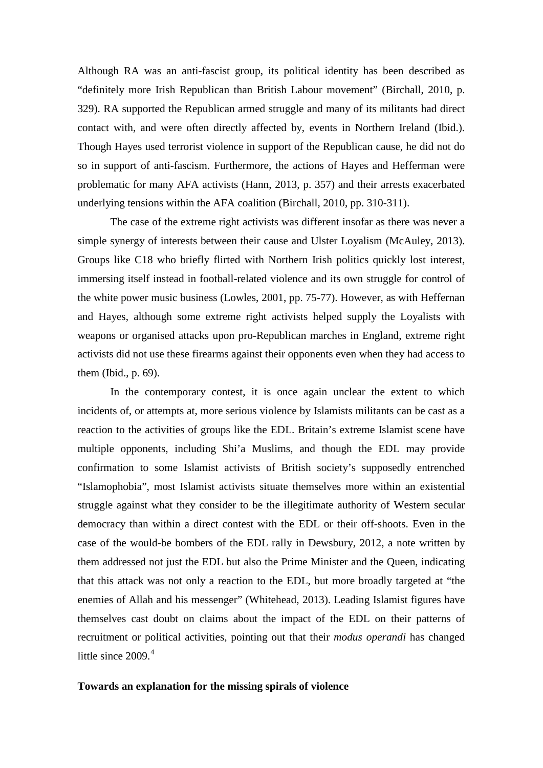Although RA was an anti-fascist group, its political identity has been described as "definitely more Irish Republican than British Labour movement" (Birchall, 2010, p. 329). RA supported the Republican armed struggle and many of its militants had direct contact with, and were often directly affected by, events in Northern Ireland (Ibid.). Though Hayes used terrorist violence in support of the Republican cause, he did not do so in support of anti-fascism. Furthermore, the actions of Hayes and Hefferman were problematic for many AFA activists (Hann, 2013, p. 357) and their arrests exacerbated underlying tensions within the AFA coalition (Birchall, 2010, pp. 310-311).

The case of the extreme right activists was different insofar as there was never a simple synergy of interests between their cause and Ulster Loyalism (McAuley, 2013). Groups like C18 who briefly flirted with Northern Irish politics quickly lost interest, immersing itself instead in football-related violence and its own struggle for control of the white power music business (Lowles, 2001, pp. 75-77). However, as with Heffernan and Hayes, although some extreme right activists helped supply the Loyalists with weapons or organised attacks upon pro-Republican marches in England, extreme right activists did not use these firearms against their opponents even when they had access to them (Ibid., p. 69).

In the contemporary contest, it is once again unclear the extent to which incidents of, or attempts at, more serious violence by Islamists militants can be cast as a reaction to the activities of groups like the EDL. Britain's extreme Islamist scene have multiple opponents, including Shi'a Muslims, and though the EDL may provide confirmation to some Islamist activists of British society's supposedly entrenched "Islamophobia", most Islamist activists situate themselves more within an existential struggle against what they consider to be the illegitimate authority of Western secular democracy than within a direct contest with the EDL or their off-shoots. Even in the case of the would-be bombers of the EDL rally in Dewsbury, 2012, a note written by them addressed not just the EDL but also the Prime Minister and the Queen, indicating that this attack was not only a reaction to the EDL, but more broadly targeted at "the enemies of Allah and his messenger" (Whitehead, 2013). Leading Islamist figures have themselves cast doubt on claims about the impact of the EDL on their patterns of recruitment or political activities, pointing out that their *modus operandi* has changed little since  $2009<sup>4</sup>$  $2009<sup>4</sup>$  $2009<sup>4</sup>$ 

### **Towards an explanation for the missing spirals of violence**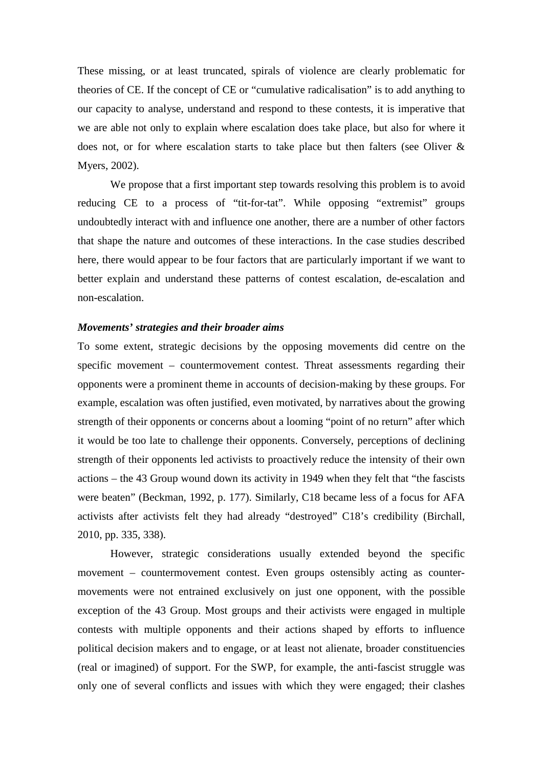These missing, or at least truncated, spirals of violence are clearly problematic for theories of CE. If the concept of CE or "cumulative radicalisation" is to add anything to our capacity to analyse, understand and respond to these contests, it is imperative that we are able not only to explain where escalation does take place, but also for where it does not, or for where escalation starts to take place but then falters (see Oliver & Myers, 2002).

We propose that a first important step towards resolving this problem is to avoid reducing CE to a process of "tit-for-tat". While opposing "extremist" groups undoubtedly interact with and influence one another, there are a number of other factors that shape the nature and outcomes of these interactions. In the case studies described here, there would appear to be four factors that are particularly important if we want to better explain and understand these patterns of contest escalation, de-escalation and non-escalation.

### *Movements' strategies and their broader aims*

To some extent, strategic decisions by the opposing movements did centre on the specific movement – countermovement contest. Threat assessments regarding their opponents were a prominent theme in accounts of decision-making by these groups. For example, escalation was often justified, even motivated, by narratives about the growing strength of their opponents or concerns about a looming "point of no return" after which it would be too late to challenge their opponents. Conversely, perceptions of declining strength of their opponents led activists to proactively reduce the intensity of their own actions – the 43 Group wound down its activity in 1949 when they felt that "the fascists were beaten" (Beckman, 1992, p. 177). Similarly, C18 became less of a focus for AFA activists after activists felt they had already "destroyed" C18's credibility (Birchall, 2010, pp. 335, 338).

However, strategic considerations usually extended beyond the specific movement – countermovement contest. Even groups ostensibly acting as countermovements were not entrained exclusively on just one opponent, with the possible exception of the 43 Group. Most groups and their activists were engaged in multiple contests with multiple opponents and their actions shaped by efforts to influence political decision makers and to engage, or at least not alienate, broader constituencies (real or imagined) of support. For the SWP, for example, the anti-fascist struggle was only one of several conflicts and issues with which they were engaged; their clashes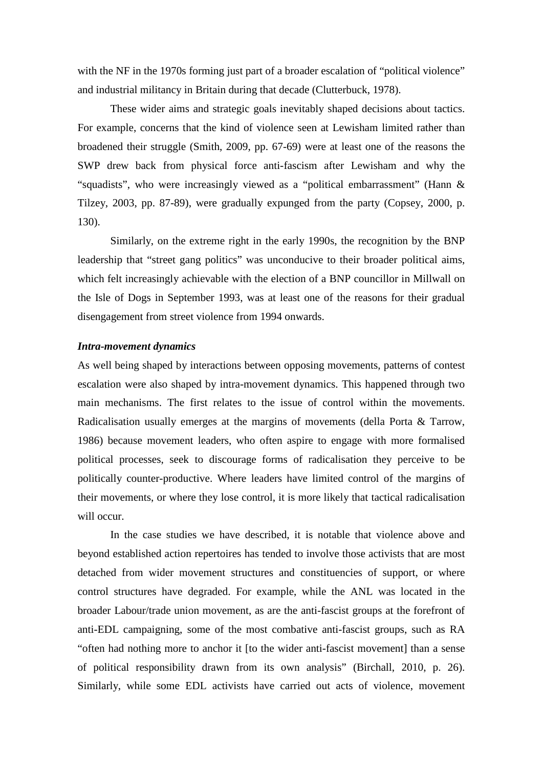with the NF in the 1970s forming just part of a broader escalation of "political violence" and industrial militancy in Britain during that decade (Clutterbuck, 1978).

These wider aims and strategic goals inevitably shaped decisions about tactics. For example, concerns that the kind of violence seen at Lewisham limited rather than broadened their struggle (Smith, 2009, pp. 67-69) were at least one of the reasons the SWP drew back from physical force anti-fascism after Lewisham and why the "squadists", who were increasingly viewed as a "political embarrassment" (Hann & Tilzey, 2003, pp. 87-89), were gradually expunged from the party (Copsey, 2000, p. 130).

Similarly, on the extreme right in the early 1990s, the recognition by the BNP leadership that "street gang politics" was unconducive to their broader political aims, which felt increasingly achievable with the election of a BNP councillor in Millwall on the Isle of Dogs in September 1993, was at least one of the reasons for their gradual disengagement from street violence from 1994 onwards.

### *Intra-movement dynamics*

As well being shaped by interactions between opposing movements, patterns of contest escalation were also shaped by intra-movement dynamics. This happened through two main mechanisms. The first relates to the issue of control within the movements. Radicalisation usually emerges at the margins of movements (della Porta & Tarrow, 1986) because movement leaders, who often aspire to engage with more formalised political processes, seek to discourage forms of radicalisation they perceive to be politically counter-productive. Where leaders have limited control of the margins of their movements, or where they lose control, it is more likely that tactical radicalisation will occur.

In the case studies we have described, it is notable that violence above and beyond established action repertoires has tended to involve those activists that are most detached from wider movement structures and constituencies of support, or where control structures have degraded. For example, while the ANL was located in the broader Labour/trade union movement, as are the anti-fascist groups at the forefront of anti-EDL campaigning, some of the most combative anti-fascist groups, such as RA "often had nothing more to anchor it [to the wider anti-fascist movement] than a sense of political responsibility drawn from its own analysis" (Birchall, 2010, p. 26). Similarly, while some EDL activists have carried out acts of violence, movement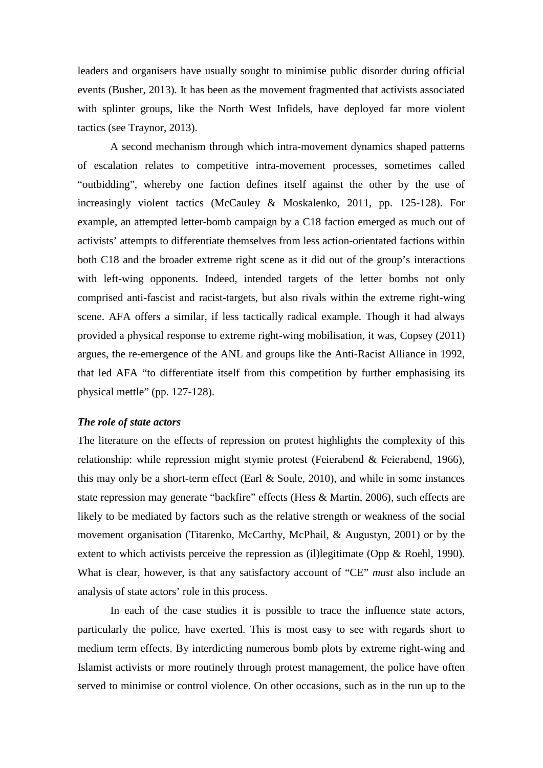leaders and organisers have usually sought to minimise public disorder during official events (Busher, 2013). It has been as the movement fragmented that activists associated with splinter groups, like the North West Infidels, have deployed far more violent tactics (see Traynor, 2013).

A second mechanism through which intra-movement dynamics shaped patterns of escalation relates to competitive intra-movement processes, sometimes called "outbidding", whereby one faction defines itself against the other by the use of increasingly violent tactics (McCauley & Moskalenko, 2011, pp. 125-128). For example, an attempted letter-bomb campaign by a C18 faction emerged as much out of activists' attempts to differentiate themselves from less action-orientated factions within both C18 and the broader extreme right scene as it did out of the group's interactions with left-wing opponents. Indeed, intended targets of the letter bombs not only comprised anti-fascist and racist-targets, but also rivals within the extreme right-wing scene. AFA offers a similar, if less tactically radical example. Though it had always provided a physical response to extreme right-wing mobilisation, it was, Copsey (2011) argues, the re-emergence of the ANL and groups like the Anti-Racist Alliance in 1992, that led AFA "to differentiate itself from this competition by further emphasising its physical mettle" (pp. 127-128).

### *The role of state actors*

The literature on the effects of repression on protest highlights the complexity of this relationship: while repression might stymie protest (Feierabend & Feierabend, 1966), this may only be a short-term effect (Earl & Soule, 2010), and while in some instances state repression may generate "backfire" effects (Hess & Martin, 2006), such effects are likely to be mediated by factors such as the relative strength or weakness of the social movement organisation (Titarenko, McCarthy, McPhail, & Augustyn, 2001) or by the extent to which activists perceive the repression as (il)legitimate (Opp & Roehl, 1990). What is clear, however, is that any satisfactory account of "CE" *must* also include an analysis of state actors' role in this process.

In each of the case studies it is possible to trace the influence state actors, particularly the police, have exerted. This is most easy to see with regards short to medium term effects. By interdicting numerous bomb plots by extreme right-wing and Islamist activists or more routinely through protest management, the police have often served to minimise or control violence. On other occasions, such as in the run up to the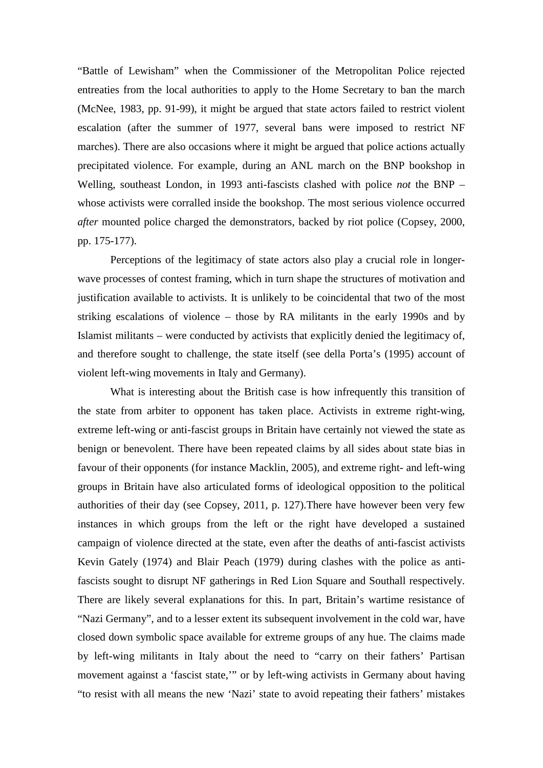"Battle of Lewisham" when the Commissioner of the Metropolitan Police rejected entreaties from the local authorities to apply to the Home Secretary to ban the march (McNee, 1983, pp. 91-99), it might be argued that state actors failed to restrict violent escalation (after the summer of 1977, several bans were imposed to restrict NF marches). There are also occasions where it might be argued that police actions actually precipitated violence. For example, during an ANL march on the BNP bookshop in Welling, southeast London, in 1993 anti-fascists clashed with police *not* the BNP – whose activists were corralled inside the bookshop. The most serious violence occurred *after* mounted police charged the demonstrators, backed by riot police (Copsey, 2000, pp. 175-177).

Perceptions of the legitimacy of state actors also play a crucial role in longerwave processes of contest framing, which in turn shape the structures of motivation and justification available to activists. It is unlikely to be coincidental that two of the most striking escalations of violence – those by RA militants in the early 1990s and by Islamist militants – were conducted by activists that explicitly denied the legitimacy of, and therefore sought to challenge, the state itself (see della Porta's (1995) account of violent left-wing movements in Italy and Germany).

What is interesting about the British case is how infrequently this transition of the state from arbiter to opponent has taken place. Activists in extreme right-wing, extreme left-wing or anti-fascist groups in Britain have certainly not viewed the state as benign or benevolent. There have been repeated claims by all sides about state bias in favour of their opponents (for instance Macklin, 2005), and extreme right- and left-wing groups in Britain have also articulated forms of ideological opposition to the political authorities of their day (see Copsey, 2011, p. 127).There have however been very few instances in which groups from the left or the right have developed a sustained campaign of violence directed at the state, even after the deaths of anti-fascist activists Kevin Gately (1974) and Blair Peach (1979) during clashes with the police as antifascists sought to disrupt NF gatherings in Red Lion Square and Southall respectively. There are likely several explanations for this. In part, Britain's wartime resistance of "Nazi Germany", and to a lesser extent its subsequent involvement in the cold war, have closed down symbolic space available for extreme groups of any hue. The claims made by left-wing militants in Italy about the need to "carry on their fathers' Partisan movement against a 'fascist state,'" or by left-wing activists in Germany about having "to resist with all means the new 'Nazi' state to avoid repeating their fathers' mistakes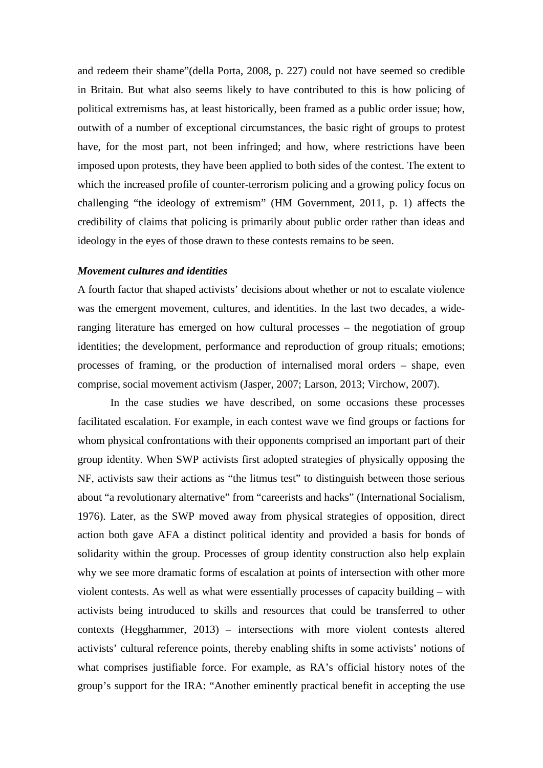and redeem their shame"(della Porta, 2008, p. 227) could not have seemed so credible in Britain. But what also seems likely to have contributed to this is how policing of political extremisms has, at least historically, been framed as a public order issue; how, outwith of a number of exceptional circumstances, the basic right of groups to protest have, for the most part, not been infringed; and how, where restrictions have been imposed upon protests, they have been applied to both sides of the contest. The extent to which the increased profile of counter-terrorism policing and a growing policy focus on challenging "the ideology of extremism" (HM Government, 2011, p. 1) affects the credibility of claims that policing is primarily about public order rather than ideas and ideology in the eyes of those drawn to these contests remains to be seen.

### *Movement cultures and identities*

A fourth factor that shaped activists' decisions about whether or not to escalate violence was the emergent movement, cultures, and identities. In the last two decades, a wideranging literature has emerged on how cultural processes – the negotiation of group identities; the development, performance and reproduction of group rituals; emotions; processes of framing, or the production of internalised moral orders – shape, even comprise, social movement activism (Jasper, 2007; Larson, 2013; Virchow, 2007).

In the case studies we have described, on some occasions these processes facilitated escalation. For example, in each contest wave we find groups or factions for whom physical confrontations with their opponents comprised an important part of their group identity. When SWP activists first adopted strategies of physically opposing the NF, activists saw their actions as "the litmus test" to distinguish between those serious about "a revolutionary alternative" from "careerists and hacks" (International Socialism, 1976). Later, as the SWP moved away from physical strategies of opposition, direct action both gave AFA a distinct political identity and provided a basis for bonds of solidarity within the group. Processes of group identity construction also help explain why we see more dramatic forms of escalation at points of intersection with other more violent contests. As well as what were essentially processes of capacity building – with activists being introduced to skills and resources that could be transferred to other contexts (Hegghammer, 2013) – intersections with more violent contests altered activists' cultural reference points, thereby enabling shifts in some activists' notions of what comprises justifiable force. For example, as RA's official history notes of the group's support for the IRA: "Another eminently practical benefit in accepting the use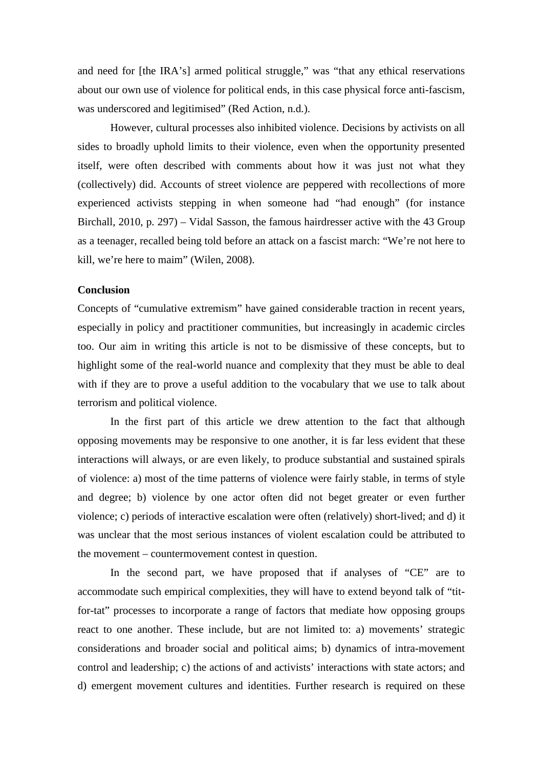and need for [the IRA's] armed political struggle," was "that any ethical reservations about our own use of violence for political ends, in this case physical force anti-fascism, was underscored and legitimised" (Red Action, n.d.).

However, cultural processes also inhibited violence. Decisions by activists on all sides to broadly uphold limits to their violence, even when the opportunity presented itself, were often described with comments about how it was just not what they (collectively) did. Accounts of street violence are peppered with recollections of more experienced activists stepping in when someone had "had enough" (for instance Birchall, 2010, p. 297) – Vidal Sasson, the famous hairdresser active with the 43 Group as a teenager, recalled being told before an attack on a fascist march: "We're not here to kill, we're here to maim" (Wilen, 2008).

### **Conclusion**

Concepts of "cumulative extremism" have gained considerable traction in recent years, especially in policy and practitioner communities, but increasingly in academic circles too. Our aim in writing this article is not to be dismissive of these concepts, but to highlight some of the real-world nuance and complexity that they must be able to deal with if they are to prove a useful addition to the vocabulary that we use to talk about terrorism and political violence.

In the first part of this article we drew attention to the fact that although opposing movements may be responsive to one another, it is far less evident that these interactions will always, or are even likely, to produce substantial and sustained spirals of violence: a) most of the time patterns of violence were fairly stable, in terms of style and degree; b) violence by one actor often did not beget greater or even further violence; c) periods of interactive escalation were often (relatively) short-lived; and d) it was unclear that the most serious instances of violent escalation could be attributed to the movement – countermovement contest in question.

In the second part, we have proposed that if analyses of "CE" are to accommodate such empirical complexities, they will have to extend beyond talk of "titfor-tat" processes to incorporate a range of factors that mediate how opposing groups react to one another. These include, but are not limited to: a) movements' strategic considerations and broader social and political aims; b) dynamics of intra-movement control and leadership; c) the actions of and activists' interactions with state actors; and d) emergent movement cultures and identities. Further research is required on these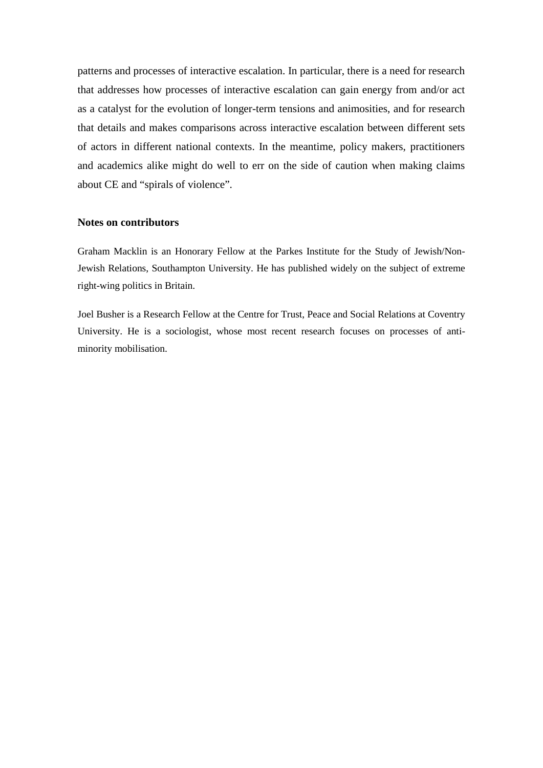patterns and processes of interactive escalation. In particular, there is a need for research that addresses how processes of interactive escalation can gain energy from and/or act as a catalyst for the evolution of longer-term tensions and animosities, and for research that details and makes comparisons across interactive escalation between different sets of actors in different national contexts. In the meantime, policy makers, practitioners and academics alike might do well to err on the side of caution when making claims about CE and "spirals of violence".

### **Notes on contributors**

Graham Macklin is an Honorary Fellow at the Parkes Institute for the Study of Jewish/Non-Jewish Relations, Southampton University. He has published widely on the subject of extreme right-wing politics in Britain.

Joel Busher is a Research Fellow at the Centre for Trust, Peace and Social Relations at Coventry University. He is a sociologist, whose most recent research focuses on processes of antiminority mobilisation.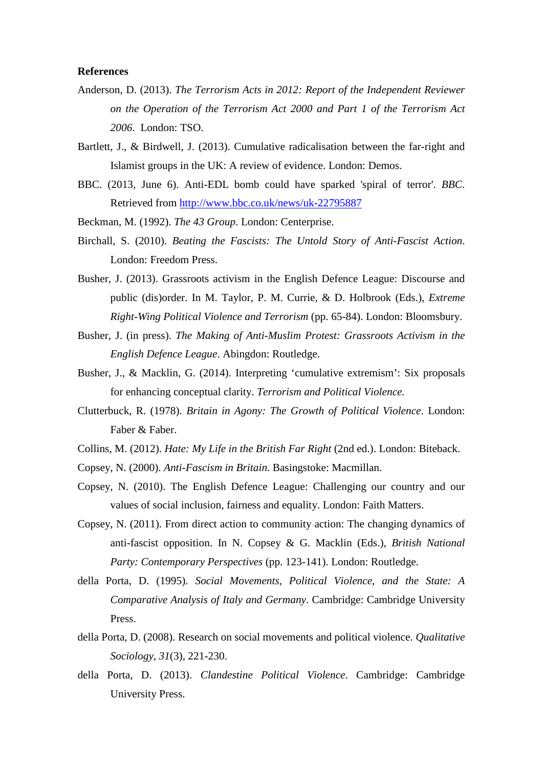### **References**

- Anderson, D. (2013). *The Terrorism Acts in 2012: Report of the Independent Reviewer on the Operation of the Terrorism Act 2000 and Part 1 of the Terrorism Act 2006*. London: TSO.
- Bartlett, J., & Birdwell, J. (2013). Cumulative radicalisation between the far-right and Islamist groups in the UK: A review of evidence. London: Demos.
- BBC. (2013, June 6). Anti-EDL bomb could have sparked 'spiral of terror'. *BBC*. Retrieved from<http://www.bbc.co.uk/news/uk-22795887>
- Beckman, M. (1992). *The 43 Group*. London: Centerprise.
- Birchall, S. (2010). *Beating the Fascists: The Untold Story of Anti-Fascist Action*. London: Freedom Press.
- Busher, J. (2013). Grassroots activism in the English Defence League: Discourse and public (dis)order. In M. Taylor, P. M. Currie, & D. Holbrook (Eds.), *Extreme Right-Wing Political Violence and Terrorism* (pp. 65-84). London: Bloomsbury.
- Busher, J. (in press). *The Making of Anti-Muslim Protest: Grassroots Activism in the English Defence League*. Abingdon: Routledge.
- Busher, J., & Macklin, G. (2014). Interpreting 'cumulative extremism': Six proposals for enhancing conceptual clarity. *Terrorism and Political Violence.*
- Clutterbuck, R. (1978). *Britain in Agony: The Growth of Political Violence*. London: Faber & Faber.
- Collins, M. (2012). *Hate: My Life in the British Far Right* (2nd ed.). London: Biteback.
- Copsey, N. (2000). *Anti-Fascism in Britain*. Basingstoke: Macmillan.
- Copsey, N. (2010). The English Defence League: Challenging our country and our values of social inclusion, fairness and equality. London: Faith Matters.
- Copsey, N. (2011). From direct action to community action: The changing dynamics of anti-fascist opposition. In N. Copsey & G. Macklin (Eds.), *British National Party: Contemporary Perspectives* (pp. 123-141). London: Routledge.
- della Porta, D. (1995). *Social Movements, Political Violence, and the State: A Comparative Analysis of Italy and Germany*. Cambridge: Cambridge University Press.
- della Porta, D. (2008). Research on social movements and political violence. *Qualitative Sociology, 31*(3), 221-230.
- della Porta, D. (2013). *Clandestine Political Violence*. Cambridge: Cambridge University Press.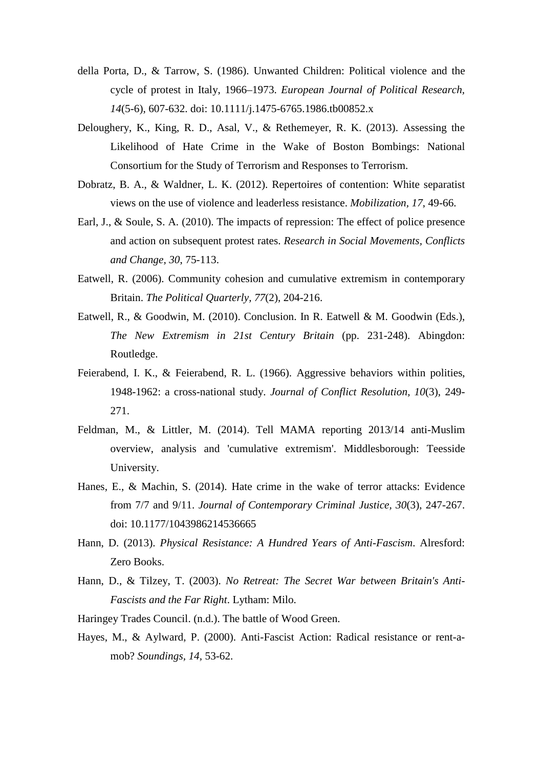- della Porta, D., & Tarrow, S. (1986). Unwanted Children: Political violence and the cycle of protest in Italy, 1966–1973. *European Journal of Political Research, 14*(5-6), 607-632. doi: 10.1111/j.1475-6765.1986.tb00852.x
- Deloughery, K., King, R. D., Asal, V., & Rethemeyer, R. K. (2013). Assessing the Likelihood of Hate Crime in the Wake of Boston Bombings: National Consortium for the Study of Terrorism and Responses to Terrorism.
- Dobratz, B. A., & Waldner, L. K. (2012). Repertoires of contention: White separatist views on the use of violence and leaderless resistance. *Mobilization, 17*, 49-66.
- Earl, J., & Soule, S. A. (2010). The impacts of repression: The effect of police presence and action on subsequent protest rates. *Research in Social Movements, Conflicts and Change, 30*, 75-113.
- Eatwell, R. (2006). Community cohesion and cumulative extremism in contemporary Britain. *The Political Quarterly, 77*(2), 204-216.
- Eatwell, R., & Goodwin, M. (2010). Conclusion. In R. Eatwell & M. Goodwin (Eds.), *The New Extremism in 21st Century Britain* (pp. 231-248). Abingdon: Routledge.
- Feierabend, I. K., & Feierabend, R. L. (1966). Aggressive behaviors within polities, 1948-1962: a cross-national study. *Journal of Conflict Resolution, 10*(3), 249- 271.
- Feldman, M., & Littler, M. (2014). Tell MAMA reporting 2013/14 anti-Muslim overview, analysis and 'cumulative extremism'. Middlesborough: Teesside University.
- Hanes, E., & Machin, S. (2014). Hate crime in the wake of terror attacks: Evidence from 7/7 and 9/11. *Journal of Contemporary Criminal Justice, 30*(3), 247-267. doi: 10.1177/1043986214536665
- Hann, D. (2013). *Physical Resistance: A Hundred Years of Anti-Fascism*. Alresford: Zero Books.
- Hann, D., & Tilzey, T. (2003). *No Retreat: The Secret War between Britain's Anti-Fascists and the Far Right*. Lytham: Milo.
- Haringey Trades Council. (n.d.). The battle of Wood Green.
- Hayes, M., & Aylward, P. (2000). Anti-Fascist Action: Radical resistance or rent-amob? *Soundings, 14,* 53-62.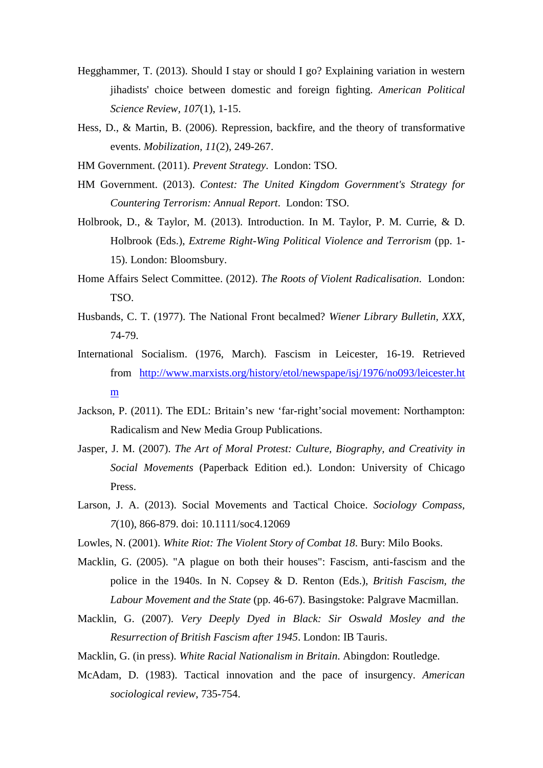- Hegghammer, T. (2013). Should I stay or should I go? Explaining variation in western jihadists' choice between domestic and foreign fighting. *American Political Science Review, 107*(1), 1-15.
- Hess, D., & Martin, B. (2006). Repression, backfire, and the theory of transformative events. *Mobilization, 11*(2), 249-267.
- HM Government. (2011). *Prevent Strategy*. London: TSO.
- HM Government. (2013). *Contest: The United Kingdom Government's Strategy for Countering Terrorism: Annual Report*. London: TSO.
- Holbrook, D., & Taylor, M. (2013). Introduction. In M. Taylor, P. M. Currie, & D. Holbrook (Eds.), *Extreme Right-Wing Political Violence and Terrorism* (pp. 1- 15). London: Bloomsbury.
- Home Affairs Select Committee. (2012). *The Roots of Violent Radicalisation*. London: TSO.
- Husbands, C. T. (1977). The National Front becalmed? *Wiener Library Bulletin, XXX,* 74-79.
- International Socialism. (1976, March). Fascism in Leicester*,* 16-19. Retrieved from [http://www.marxists.org/history/etol/newspape/isj/1976/no093/leicester.ht](http://www.marxists.org/history/etol/newspape/isj/1976/no093/leicester.htm) [m](http://www.marxists.org/history/etol/newspape/isj/1976/no093/leicester.htm)
- Jackson, P. (2011). The EDL: Britain's new 'far-right'social movement: Northampton: Radicalism and New Media Group Publications.
- Jasper, J. M. (2007). *The Art of Moral Protest: Culture, Biography, and Creativity in Social Movements* (Paperback Edition ed.). London: University of Chicago Press.
- Larson, J. A. (2013). Social Movements and Tactical Choice. *Sociology Compass, 7*(10), 866-879. doi: 10.1111/soc4.12069
- Lowles, N. (2001). *White Riot: The Violent Story of Combat 18*. Bury: Milo Books.
- Macklin, G. (2005). "A plague on both their houses": Fascism, anti-fascism and the police in the 1940s. In N. Copsey & D. Renton (Eds.), *British Fascism, the Labour Movement and the State* (pp. 46-67). Basingstoke: Palgrave Macmillan.
- Macklin, G. (2007). *Very Deeply Dyed in Black: Sir Oswald Mosley and the Resurrection of British Fascism after 1945*. London: IB Tauris.
- Macklin, G. (in press). *White Racial Nationalism in Britain*. Abingdon: Routledge.
- McAdam, D. (1983). Tactical innovation and the pace of insurgency. *American sociological review*, 735-754.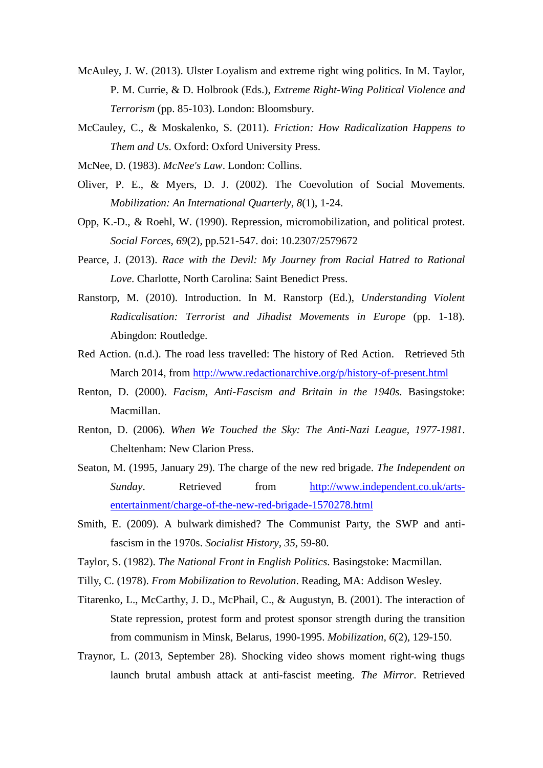- McAuley, J. W. (2013). Ulster Loyalism and extreme right wing politics. In M. Taylor, P. M. Currie, & D. Holbrook (Eds.), *Extreme Right-Wing Political Violence and Terrorism* (pp. 85-103). London: Bloomsbury.
- McCauley, C., & Moskalenko, S. (2011). *Friction: How Radicalization Happens to Them and Us*. Oxford: Oxford University Press.
- McNee, D. (1983). *McNee's Law*. London: Collins.
- Oliver, P. E., & Myers, D. J. (2002). The Coevolution of Social Movements. *Mobilization: An International Quarterly, 8*(1), 1-24.
- Opp, K.-D., & Roehl, W. (1990). Repression, micromobilization, and political protest. *Social Forces, 69*(2), pp.521-547. doi: 10.2307/2579672
- Pearce, J. (2013). *Race with the Devil: My Journey from Racial Hatred to Rational Love*. Charlotte, North Carolina: Saint Benedict Press.
- Ranstorp, M. (2010). Introduction. In M. Ranstorp (Ed.), *Understanding Violent Radicalisation: Terrorist and Jihadist Movements in Europe* (pp. 1-18). Abingdon: Routledge.
- Red Action. (n.d.). The road less travelled: The history of Red Action. Retrieved 5th March 2014, from<http://www.redactionarchive.org/p/history-of-present.html>
- Renton, D. (2000). *Facism, Anti-Fascism and Britain in the 1940s*. Basingstoke: Macmillan.
- Renton, D. (2006). *When We Touched the Sky: The Anti-Nazi League, 1977-1981*. Cheltenham: New Clarion Press.
- Seaton, M. (1995, January 29). The charge of the new red brigade. *The Independent on Sunday*. Retrieved from [http://www.independent.co.uk/arts](http://www.independent.co.uk/arts-entertainment/charge-of-the-new-red-brigade-1570278.html)[entertainment/charge-of-the-new-red-brigade-1570278.html](http://www.independent.co.uk/arts-entertainment/charge-of-the-new-red-brigade-1570278.html)
- Smith, E. (2009). A bulwark dimished? The Communist Party, the SWP and antifascism in the 1970s. *Socialist History, 35*, 59-80.
- Taylor, S. (1982). *The National Front in English Politics*. Basingstoke: Macmillan.
- Tilly, C. (1978). *From Mobilization to Revolution*. Reading, MA: Addison Wesley.
- Titarenko, L., McCarthy, J. D., McPhail, C., & Augustyn, B. (2001). The interaction of State repression, protest form and protest sponsor strength during the transition from communism in Minsk, Belarus, 1990-1995. *Mobilization, 6*(2), 129-150.
- Traynor, L. (2013, September 28). Shocking video shows moment right-wing thugs launch brutal ambush attack at anti-fascist meeting. *The Mirror*. Retrieved